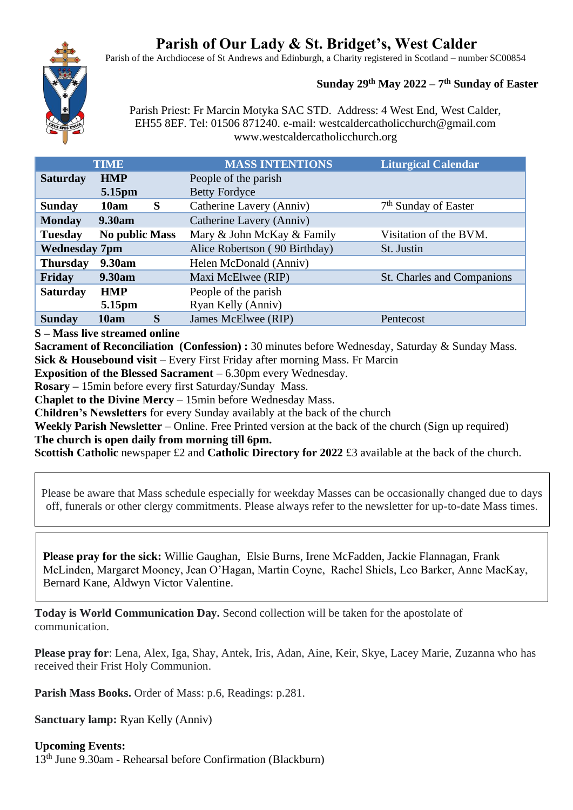# **Parish of Our Lady & St. Bridget's, West Calder**

Parish of the Archdiocese of St Andrews and Edinburgh, a Charity registered in Scotland – number SC00854

# **Sunday 29 th May 2022 – 7 th Sunday of Easter**

Parish Priest: Fr Marcin Motyka SAC STD. Address: 4 West End, West Calder, EH55 8EF. Tel: 01506 871240. e-mail: westcaldercatholicchurch@gmail.com www.westcaldercatholicchurch.org

| <b>TIME</b>                    |                       | <b>MASS INTENTIONS</b>        | <b>Liturgical Calendar</b>       |
|--------------------------------|-----------------------|-------------------------------|----------------------------------|
| <b>HMP</b><br><b>Saturday</b>  |                       | People of the parish          |                                  |
| 5.15pm                         |                       | <b>Betty Fordyce</b>          |                                  |
| 10am<br><b>Sunday</b>          | S                     | Catherine Lavery (Anniv)      | 7 <sup>th</sup> Sunday of Easter |
| <b>Monday</b><br><b>9.30am</b> |                       | Catherine Lavery (Anniv)      |                                  |
| <b>Tuesday</b>                 | <b>No public Mass</b> | Mary & John McKay & Family    | Visitation of the BVM.           |
| <b>Wednesday 7pm</b>           |                       | Alice Robertson (90 Birthday) | St. Justin                       |
| 9.30am<br><b>Thursday</b>      |                       | Helen McDonald (Anniv)        |                                  |
| Friday<br>9.30am               |                       | Maxi McElwee (RIP)            | St. Charles and Companions       |
| <b>HMP</b><br><b>Saturday</b>  |                       | People of the parish          |                                  |
| 5.15pm                         |                       | Ryan Kelly (Anniv)            |                                  |
| 10am<br><b>Sunday</b>          | S                     | James McElwee (RIP)           | Pentecost                        |

**S – Mass live streamed online**

**Sacrament of Reconciliation (Confession) :** 30 minutes before Wednesday, Saturday & Sunday Mass. **Sick & Housebound visit** – Every First Friday after morning Mass. Fr Marcin

**Exposition of the Blessed Sacrament** – 6.30pm every Wednesday.

**Rosary –** 15min before every first Saturday/Sunday Mass.

**Chaplet to the Divine Mercy** – 15min before Wednesday Mass.

**Children's Newsletters** for every Sunday availably at the back of the church

**Weekly Parish Newsletter** – Online. Free Printed version at the back of the church (Sign up required) **The church is open daily from morning till 6pm.** 

**Scottish Catholic newspaper £2 and Catholic Directory for 2022 £3 available at the back of the church.** 

Please be aware that Mass schedule especially for weekday Masses can be occasionally changed due to days off, funerals or other clergy commitments. Please always refer to the newsletter for up-to-date Mass times.

**Please pray for the sick:** Willie Gaughan, Elsie Burns, Irene McFadden, Jackie Flannagan, Frank McLinden, Margaret Mooney, Jean O'Hagan, Martin Coyne, Rachel Shiels, Leo Barker, Anne MacKay, Bernard Kane, Aldwyn Victor Valentine.

**Today is World Communication Day.** Second collection will be taken for the apostolate of communication.

**Please pray for**: Lena, Alex, Iga, Shay, Antek, Iris, Adan, Aine, Keir, Skye, Lacey Marie, Zuzanna who has received their Frist Holy Communion.

**Parish Mass Books.** Order of Mass: p.6, Readings: p.281.

**Sanctuary lamp:** Ryan Kelly (Anniv)

**Upcoming Events:**  13th June 9.30am - Rehearsal before Confirmation (Blackburn)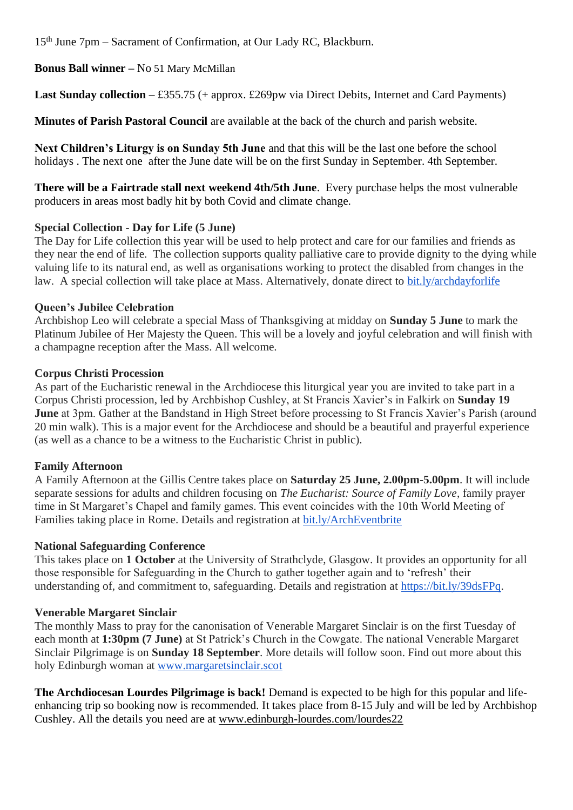15th June 7pm – Sacrament of Confirmation, at Our Lady RC, Blackburn.

# **Bonus Ball winner –** No 51 Mary McMillan

**Last Sunday collection –** £355.75 (+ approx. £269pw via Direct Debits, Internet and Card Payments)

**Minutes of Parish Pastoral Council** are available at the back of the church and parish website.

**Next Children's Liturgy is on Sunday 5th June** and that this will be the last one before the school holidays . The next one after the June date will be on the first Sunday in September. 4th September.

**There will be a Fairtrade stall next weekend 4th/5th June**. Every purchase helps the most vulnerable producers in areas most badly hit by both Covid and climate change.

## **Special Collection - Day for Life (5 June)**

The Day for Life collection this year will be used to help protect and care for our families and friends as they near the end of life. The collection supports quality palliative care to provide dignity to the dying while valuing life to its natural end, as well as organisations working to protect the disabled from changes in the law. A special collection will take place at Mass. Alternatively, donate direct to [bit.ly/archdayforlife](https://bit.ly/archdayforlife)

## **Queen's Jubilee Celebration**

Archbishop Leo will celebrate a special Mass of Thanksgiving at midday on **Sunday 5 June** to mark the Platinum Jubilee of Her Majesty the Queen. This will be a lovely and joyful celebration and will finish with a champagne reception after the Mass. All welcome.

## **Corpus Christi Procession**

As part of the Eucharistic renewal in the Archdiocese this liturgical year you are invited to take part in a Corpus Christi procession, led by Archbishop Cushley, at St Francis Xavier's in Falkirk on **Sunday 19 June** at 3pm. Gather at the Bandstand in High Street before processing to St Francis Xavier's Parish (around 20 min walk). This is a major event for the Archdiocese and should be a beautiful and prayerful experience (as well as a chance to be a witness to the Eucharistic Christ in public).

# **Family Afternoon**

A Family Afternoon at the Gillis Centre takes place on **Saturday 25 June, 2.00pm-5.00pm**. It will include separate sessions for adults and children focusing on *The Eucharist: Source of Family Love*, family prayer time in St Margaret's Chapel and family games. This event coincides with the 10th World Meeting of Families taking place in Rome. Details and registration at **[bit.ly/ArchEventbrite](https://bit.ly/ArchEventbrite)** 

#### **National Safeguarding Conference**

This takes place on **1 October** at the University of Strathclyde, Glasgow. It provides an opportunity for all those responsible for Safeguarding in the Church to gather together again and to 'refresh' their understanding of, and commitment to, safeguarding. Details and registration at [https://bit.ly/39dsFPq.](https://bit.ly/39dsFPq)

#### **Venerable Margaret Sinclair**

The monthly Mass to pray for the canonisation of Venerable Margaret Sinclair is on the first Tuesday of each month at **1:30pm (7 June)** at St Patrick's Church in the Cowgate. The national Venerable Margaret Sinclair Pilgrimage is on **Sunday 18 September**. More details will follow soon. Find out more about this holy Edinburgh woman at [www.margaretsinclair.scot](http://www.margaretsinclair.scot/)

**The Archdiocesan Lourdes Pilgrimage is back!** Demand is expected to be high for this popular and lifeenhancing trip so booking now is recommended. It takes place from 8-15 July and will be led by Archbishop Cushley. All the details you need are at [www.edinburgh-lourdes.com/lourdes22](http://www.edinburgh-lourdes.com/lourdes22)